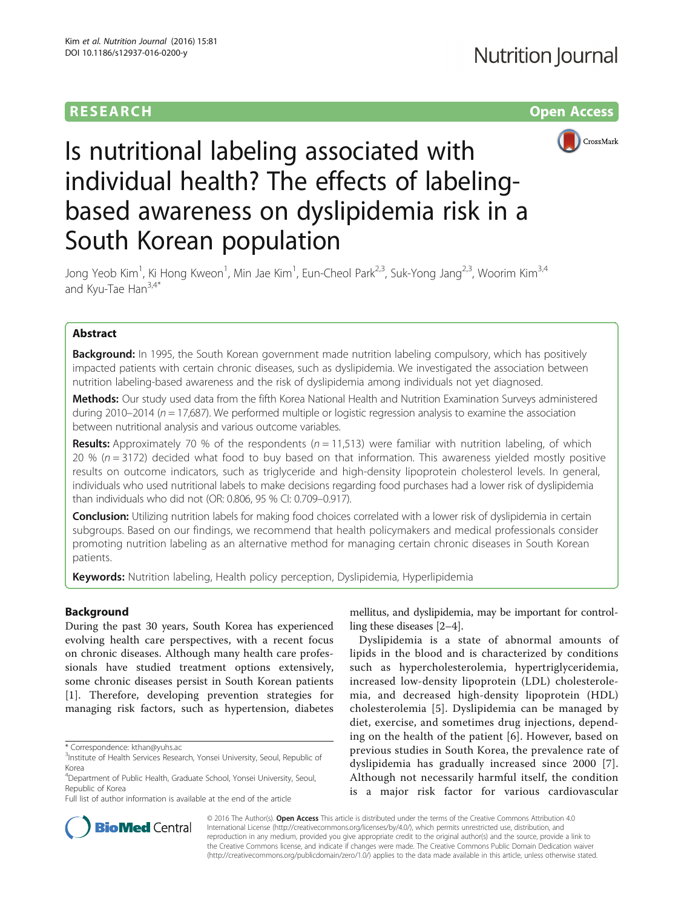# **RESEARCH RESEARCH** *CONSTRUCTER ACCESS*



# Is nutritional labeling associated with individual health? The effects of labelingbased awareness on dyslipidemia risk in a South Korean population

Jong Yeob Kim<sup>1</sup>, Ki Hong Kweon<sup>1</sup>, Min Jae Kim<sup>1</sup>, Eun-Cheol Park<sup>2,3</sup>, Suk-Yong Jang<sup>2,3</sup>, Woorim Kim<sup>3,4</sup> and Kyu-Tae Han<sup>3,4\*</sup>

# Abstract

Background: In 1995, the South Korean government made nutrition labeling compulsory, which has positively impacted patients with certain chronic diseases, such as dyslipidemia. We investigated the association between nutrition labeling-based awareness and the risk of dyslipidemia among individuals not yet diagnosed.

Methods: Our study used data from the fifth Korea National Health and Nutrition Examination Surveys administered during 2010–2014 ( $n = 17,687$ ). We performed multiple or logistic regression analysis to examine the association between nutritional analysis and various outcome variables.

**Results:** Approximately 70 % of the respondents ( $n = 11,513$ ) were familiar with nutrition labeling, of which 20 % ( $n = 3172$ ) decided what food to buy based on that information. This awareness yielded mostly positive results on outcome indicators, such as triglyceride and high-density lipoprotein cholesterol levels. In general, individuals who used nutritional labels to make decisions regarding food purchases had a lower risk of dyslipidemia than individuals who did not (OR: 0.806, 95 % CI: 0.709–0.917).

**Conclusion:** Utilizing nutrition labels for making food choices correlated with a lower risk of dyslipidemia in certain subgroups. Based on our findings, we recommend that health policymakers and medical professionals consider promoting nutrition labeling as an alternative method for managing certain chronic diseases in South Korean patients.

Keywords: Nutrition labeling, Health policy perception, Dyslipidemia, Hyperlipidemia

# Background

During the past 30 years, South Korea has experienced evolving health care perspectives, with a recent focus on chronic diseases. Although many health care professionals have studied treatment options extensively, some chronic diseases persist in South Korean patients [[1\]](#page-10-0). Therefore, developing prevention strategies for managing risk factors, such as hypertension, diabetes

Full list of author information is available at the end of the article

mellitus, and dyslipidemia, may be important for controlling these diseases [[2](#page-10-0)–[4](#page-10-0)].

Dyslipidemia is a state of abnormal amounts of lipids in the blood and is characterized by conditions such as hypercholesterolemia, hypertriglyceridemia, increased low-density lipoprotein (LDL) cholesterolemia, and decreased high-density lipoprotein (HDL) cholesterolemia [[5](#page-10-0)]. Dyslipidemia can be managed by diet, exercise, and sometimes drug injections, depending on the health of the patient [[6\]](#page-11-0). However, based on previous studies in South Korea, the prevalence rate of dyslipidemia has gradually increased since 2000 [[7](#page-11-0)]. Although not necessarily harmful itself, the condition is a major risk factor for various cardiovascular



© 2016 The Author(s). Open Access This article is distributed under the terms of the Creative Commons Attribution 4.0 International License [\(http://creativecommons.org/licenses/by/4.0/](http://creativecommons.org/licenses/by/4.0/)), which permits unrestricted use, distribution, and reproduction in any medium, provided you give appropriate credit to the original author(s) and the source, provide a link to the Creative Commons license, and indicate if changes were made. The Creative Commons Public Domain Dedication waiver [\(http://creativecommons.org/publicdomain/zero/1.0/](http://creativecommons.org/publicdomain/zero/1.0/)) applies to the data made available in this article, unless otherwise stated.

<sup>\*</sup> Correspondence: [kthan@yuhs.ac](mailto:kthan@yuhs.ac) <sup>3</sup>

<sup>&</sup>lt;sup>3</sup>Institute of Health Services Research, Yonsei University, Seoul, Republic of Korea

<sup>4</sup> Department of Public Health, Graduate School, Yonsei University, Seoul, Republic of Korea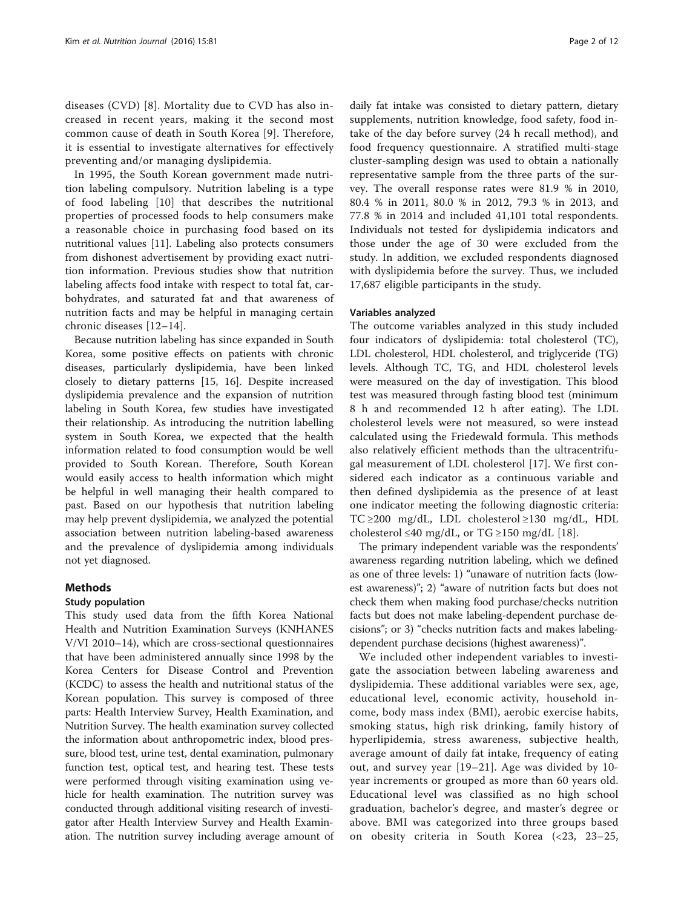diseases (CVD) [[8\]](#page-11-0). Mortality due to CVD has also increased in recent years, making it the second most common cause of death in South Korea [\[9\]](#page-11-0). Therefore, it is essential to investigate alternatives for effectively preventing and/or managing dyslipidemia.

In 1995, the South Korean government made nutrition labeling compulsory. Nutrition labeling is a type of food labeling [[10\]](#page-11-0) that describes the nutritional properties of processed foods to help consumers make a reasonable choice in purchasing food based on its nutritional values [\[11](#page-11-0)]. Labeling also protects consumers from dishonest advertisement by providing exact nutrition information. Previous studies show that nutrition labeling affects food intake with respect to total fat, carbohydrates, and saturated fat and that awareness of nutrition facts and may be helpful in managing certain chronic diseases [[12](#page-11-0)–[14](#page-11-0)].

Because nutrition labeling has since expanded in South Korea, some positive effects on patients with chronic diseases, particularly dyslipidemia, have been linked closely to dietary patterns [\[15, 16](#page-11-0)]. Despite increased dyslipidemia prevalence and the expansion of nutrition labeling in South Korea, few studies have investigated their relationship. As introducing the nutrition labelling system in South Korea, we expected that the health information related to food consumption would be well provided to South Korean. Therefore, South Korean would easily access to health information which might be helpful in well managing their health compared to past. Based on our hypothesis that nutrition labeling may help prevent dyslipidemia, we analyzed the potential association between nutrition labeling-based awareness and the prevalence of dyslipidemia among individuals not yet diagnosed.

# Methods

## Study population

This study used data from the fifth Korea National Health and Nutrition Examination Surveys (KNHANES V/VI 2010–14), which are cross-sectional questionnaires that have been administered annually since 1998 by the Korea Centers for Disease Control and Prevention (KCDC) to assess the health and nutritional status of the Korean population. This survey is composed of three parts: Health Interview Survey, Health Examination, and Nutrition Survey. The health examination survey collected the information about anthropometric index, blood pressure, blood test, urine test, dental examination, pulmonary function test, optical test, and hearing test. These tests were performed through visiting examination using vehicle for health examination. The nutrition survey was conducted through additional visiting research of investigator after Health Interview Survey and Health Examination. The nutrition survey including average amount of

daily fat intake was consisted to dietary pattern, dietary supplements, nutrition knowledge, food safety, food intake of the day before survey (24 h recall method), and food frequency questionnaire. A stratified multi-stage cluster-sampling design was used to obtain a nationally representative sample from the three parts of the survey. The overall response rates were 81.9 % in 2010, 80.4 % in 2011, 80.0 % in 2012, 79.3 % in 2013, and 77.8 % in 2014 and included 41,101 total respondents. Individuals not tested for dyslipidemia indicators and those under the age of 30 were excluded from the study. In addition, we excluded respondents diagnosed with dyslipidemia before the survey. Thus, we included 17,687 eligible participants in the study.

## Variables analyzed

The outcome variables analyzed in this study included four indicators of dyslipidemia: total cholesterol (TC), LDL cholesterol, HDL cholesterol, and triglyceride (TG) levels. Although TC, TG, and HDL cholesterol levels were measured on the day of investigation. This blood test was measured through fasting blood test (minimum 8 h and recommended 12 h after eating). The LDL cholesterol levels were not measured, so were instead calculated using the Friedewald formula. This methods also relatively efficient methods than the ultracentrifugal measurement of LDL cholesterol [[17\]](#page-11-0). We first considered each indicator as a continuous variable and then defined dyslipidemia as the presence of at least one indicator meeting the following diagnostic criteria: TC ≥200 mg/dL, LDL cholesterol ≥130 mg/dL, HDL cholesterol ≤40 mg/dL, or TG ≥150 mg/dL [[18\]](#page-11-0).

The primary independent variable was the respondents' awareness regarding nutrition labeling, which we defined as one of three levels: 1) "unaware of nutrition facts (lowest awareness)"; 2) "aware of nutrition facts but does not check them when making food purchase/checks nutrition facts but does not make labeling-dependent purchase decisions"; or 3) "checks nutrition facts and makes labelingdependent purchase decisions (highest awareness)".

We included other independent variables to investigate the association between labeling awareness and dyslipidemia. These additional variables were sex, age, educational level, economic activity, household income, body mass index (BMI), aerobic exercise habits, smoking status, high risk drinking, family history of hyperlipidemia, stress awareness, subjective health, average amount of daily fat intake, frequency of eating out, and survey year [[19](#page-11-0)–[21](#page-11-0)]. Age was divided by 10 year increments or grouped as more than 60 years old. Educational level was classified as no high school graduation, bachelor's degree, and master's degree or above. BMI was categorized into three groups based on obesity criteria in South Korea (<23, 23–25,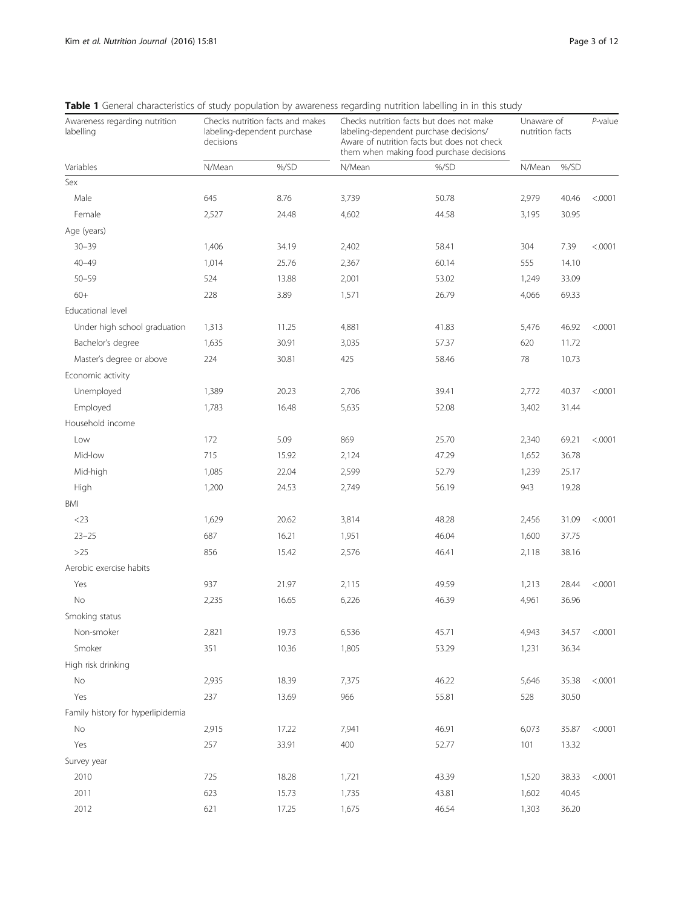| Awareness regarding nutrition<br>labelling | $\sim$ $\sim$ $\sim$<br>decisions | $\sim$<br>Checks nutrition facts and makes<br>labeling-dependent purchase |        | Checks nutrition facts but does not make<br>labeling-dependent purchase decisions/<br>Aware of nutrition facts but does not check<br>them when making food purchase decisions | Unaware of<br>nutrition facts | $P$ -value |         |
|--------------------------------------------|-----------------------------------|---------------------------------------------------------------------------|--------|-------------------------------------------------------------------------------------------------------------------------------------------------------------------------------|-------------------------------|------------|---------|
| Variables                                  | N/Mean                            | %/SD                                                                      | N/Mean | % /SD                                                                                                                                                                         | N/Mean                        | %/SD       |         |
| Sex                                        |                                   |                                                                           |        |                                                                                                                                                                               |                               |            |         |
| Male                                       | 645                               | 8.76                                                                      | 3,739  | 50.78                                                                                                                                                                         | 2,979                         | 40.46      | < .0001 |
| Female                                     | 2,527                             | 24.48                                                                     | 4,602  | 44.58                                                                                                                                                                         | 3,195                         | 30.95      |         |
| Age (years)                                |                                   |                                                                           |        |                                                                                                                                                                               |                               |            |         |
| $30 - 39$                                  | 1,406                             | 34.19                                                                     | 2,402  | 58.41                                                                                                                                                                         | 304                           | 7.39       | < .0001 |
| $40 - 49$                                  | 1,014                             | 25.76                                                                     | 2,367  | 60.14                                                                                                                                                                         | 555                           | 14.10      |         |
| $50 - 59$                                  | 524                               | 13.88                                                                     | 2,001  | 53.02                                                                                                                                                                         | 1,249                         | 33.09      |         |
| $60+$                                      | 228                               | 3.89                                                                      | 1,571  | 26.79                                                                                                                                                                         | 4,066                         | 69.33      |         |
| Educational level                          |                                   |                                                                           |        |                                                                                                                                                                               |                               |            |         |
| Under high school graduation               | 1,313                             | 11.25                                                                     | 4,881  | 41.83                                                                                                                                                                         | 5,476                         | 46.92      | < .0001 |
| Bachelor's degree                          | 1,635                             | 30.91                                                                     | 3,035  | 57.37                                                                                                                                                                         | 620                           | 11.72      |         |
| Master's degree or above                   | 224                               | 30.81                                                                     | 425    | 58.46                                                                                                                                                                         | 78                            | 10.73      |         |
| Economic activity                          |                                   |                                                                           |        |                                                                                                                                                                               |                               |            |         |
| Unemployed                                 | 1,389                             | 20.23                                                                     | 2,706  | 39.41                                                                                                                                                                         | 2,772                         | 40.37      | < .0001 |
| Employed                                   | 1,783                             | 16.48                                                                     | 5,635  | 52.08                                                                                                                                                                         | 3,402                         | 31.44      |         |
| Household income                           |                                   |                                                                           |        |                                                                                                                                                                               |                               |            |         |
| Low                                        | 172                               | 5.09                                                                      | 869    | 25.70                                                                                                                                                                         | 2,340                         | 69.21      | < .0001 |
| Mid-low                                    | 715                               | 15.92                                                                     | 2,124  | 47.29                                                                                                                                                                         | 1,652                         | 36.78      |         |
| Mid-high                                   | 1,085                             | 22.04                                                                     | 2,599  | 52.79                                                                                                                                                                         | 1,239                         | 25.17      |         |
| High                                       | 1,200                             | 24.53                                                                     | 2,749  | 56.19                                                                                                                                                                         | 943                           | 19.28      |         |
| BMI                                        |                                   |                                                                           |        |                                                                                                                                                                               |                               |            |         |
| $<$ 23                                     | 1,629                             | 20.62                                                                     | 3,814  | 48.28                                                                                                                                                                         | 2,456                         | 31.09      | < .0001 |
| $23 - 25$                                  | 687                               | 16.21                                                                     | 1,951  | 46.04                                                                                                                                                                         | 1,600                         | 37.75      |         |
| $>25$                                      | 856                               | 15.42                                                                     | 2,576  | 46.41                                                                                                                                                                         | 2,118                         | 38.16      |         |
| Aerobic exercise habits                    |                                   |                                                                           |        |                                                                                                                                                                               |                               |            |         |
| Yes                                        | 937                               | 21.97                                                                     | 2,115  | 49.59                                                                                                                                                                         | 1,213                         | 28.44      | < .0001 |
| No                                         | 2,235                             | 16.65                                                                     | 6,226  | 46.39                                                                                                                                                                         | 4,961                         | 36.96      |         |
| Smoking status                             |                                   |                                                                           |        |                                                                                                                                                                               |                               |            |         |
| Non-smoker                                 | 2,821                             | 19.73                                                                     | 6,536  | 45.71                                                                                                                                                                         | 4,943                         | 34.57      | < .0001 |
| Smoker                                     | 351                               | 10.36                                                                     | 1,805  | 53.29                                                                                                                                                                         | 1,231                         | 36.34      |         |
| High risk drinking                         |                                   |                                                                           |        |                                                                                                                                                                               |                               |            |         |
| No                                         | 2,935                             | 18.39                                                                     | 7,375  | 46.22                                                                                                                                                                         | 5,646                         | 35.38      | < .0001 |
| Yes                                        | 237                               | 13.69                                                                     | 966    | 55.81                                                                                                                                                                         | 528                           | 30.50      |         |
| Family history for hyperlipidemia          |                                   |                                                                           |        |                                                                                                                                                                               |                               |            |         |
| No                                         | 2,915                             | 17.22                                                                     | 7,941  | 46.91                                                                                                                                                                         | 6,073                         | 35.87      | < .0001 |
| Yes                                        | 257                               | 33.91                                                                     | 400    | 52.77                                                                                                                                                                         | 101                           | 13.32      |         |
| Survey year                                |                                   |                                                                           |        |                                                                                                                                                                               |                               |            |         |
| 2010                                       | 725                               | 18.28                                                                     | 1,721  | 43.39                                                                                                                                                                         | 1,520                         | 38.33      | < .0001 |
| 2011                                       | 623                               | 15.73                                                                     | 1,735  | 43.81                                                                                                                                                                         | 1,602                         | 40.45      |         |
| 2012                                       | 621                               | 17.25                                                                     | 1,675  | 46.54                                                                                                                                                                         | 1,303                         | 36.20      |         |

<span id="page-2-0"></span>Table 1 General characteristics of study population by awareness regarding nutrition labelling in in this study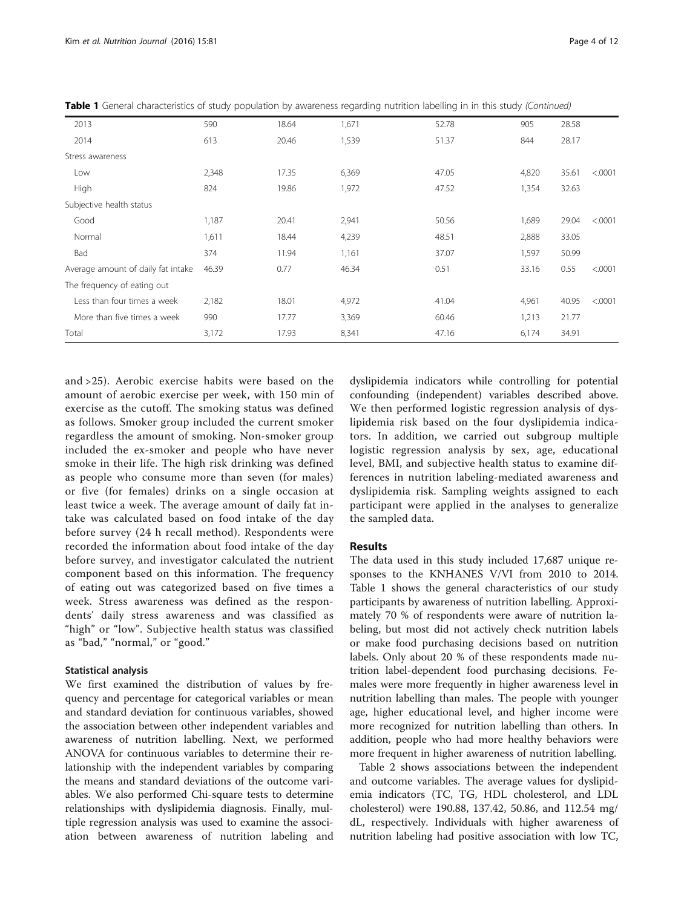| Page 4 of |  |
|-----------|--|
|-----------|--|

| 2013                               | 590   | 18.64 | 1,671 | 52.78 | 905   | 28.58 |         |
|------------------------------------|-------|-------|-------|-------|-------|-------|---------|
| 2014                               | 613   | 20.46 | 1,539 | 51.37 | 844   | 28.17 |         |
| Stress awareness                   |       |       |       |       |       |       |         |
| Low                                | 2,348 | 17.35 | 6,369 | 47.05 | 4,820 | 35.61 | < .0001 |
| High                               | 824   | 19.86 | 1,972 | 47.52 | 1,354 | 32.63 |         |
| Subjective health status           |       |       |       |       |       |       |         |
| Good                               | 1,187 | 20.41 | 2,941 | 50.56 | 1,689 | 29.04 | < .0001 |
| Normal                             | 1,611 | 18.44 | 4,239 | 48.51 | 2,888 | 33.05 |         |
| Bad                                | 374   | 11.94 | 1,161 | 37.07 | 1,597 | 50.99 |         |
| Average amount of daily fat intake | 46.39 | 0.77  | 46.34 | 0.51  | 33.16 | 0.55  | < .0001 |
| The frequency of eating out        |       |       |       |       |       |       |         |
| Less than four times a week        | 2,182 | 18.01 | 4,972 | 41.04 | 4,961 | 40.95 | < .0001 |
| More than five times a week        | 990   | 17.77 | 3,369 | 60.46 | 1,213 | 21.77 |         |
| Total                              | 3,172 | 17.93 | 8,341 | 47.16 | 6,174 | 34.91 |         |

Table 1 General characteristics of study population by awareness regarding nutrition labelling in in this study (Continued)

and >25). Aerobic exercise habits were based on the amount of aerobic exercise per week, with 150 min of exercise as the cutoff. The smoking status was defined as follows. Smoker group included the current smoker regardless the amount of smoking. Non-smoker group included the ex-smoker and people who have never smoke in their life. The high risk drinking was defined as people who consume more than seven (for males) or five (for females) drinks on a single occasion at least twice a week. The average amount of daily fat intake was calculated based on food intake of the day before survey (24 h recall method). Respondents were recorded the information about food intake of the day before survey, and investigator calculated the nutrient component based on this information. The frequency of eating out was categorized based on five times a week. Stress awareness was defined as the respondents' daily stress awareness and was classified as "high" or "low". Subjective health status was classified as "bad," "normal," or "good."

## Statistical analysis

We first examined the distribution of values by frequency and percentage for categorical variables or mean and standard deviation for continuous variables, showed the association between other independent variables and awareness of nutrition labelling. Next, we performed ANOVA for continuous variables to determine their relationship with the independent variables by comparing the means and standard deviations of the outcome variables. We also performed Chi-square tests to determine relationships with dyslipidemia diagnosis. Finally, multiple regression analysis was used to examine the association between awareness of nutrition labeling and

dyslipidemia indicators while controlling for potential confounding (independent) variables described above. We then performed logistic regression analysis of dyslipidemia risk based on the four dyslipidemia indicators. In addition, we carried out subgroup multiple logistic regression analysis by sex, age, educational level, BMI, and subjective health status to examine differences in nutrition labeling-mediated awareness and dyslipidemia risk. Sampling weights assigned to each participant were applied in the analyses to generalize the sampled data.

# Results

The data used in this study included 17,687 unique responses to the KNHANES V/VI from 2010 to 2014. Table [1](#page-2-0) shows the general characteristics of our study participants by awareness of nutrition labelling. Approximately 70 % of respondents were aware of nutrition labeling, but most did not actively check nutrition labels or make food purchasing decisions based on nutrition labels. Only about 20 % of these respondents made nutrition label-dependent food purchasing decisions. Females were more frequently in higher awareness level in nutrition labelling than males. The people with younger age, higher educational level, and higher income were more recognized for nutrition labelling than others. In addition, people who had more healthy behaviors were more frequent in higher awareness of nutrition labelling.

Table [2](#page-4-0) shows associations between the independent and outcome variables. The average values for dyslipidemia indicators (TC, TG, HDL cholesterol, and LDL cholesterol) were 190.88, 137.42, 50.86, and 112.54 mg/ dL, respectively. Individuals with higher awareness of nutrition labeling had positive association with low TC,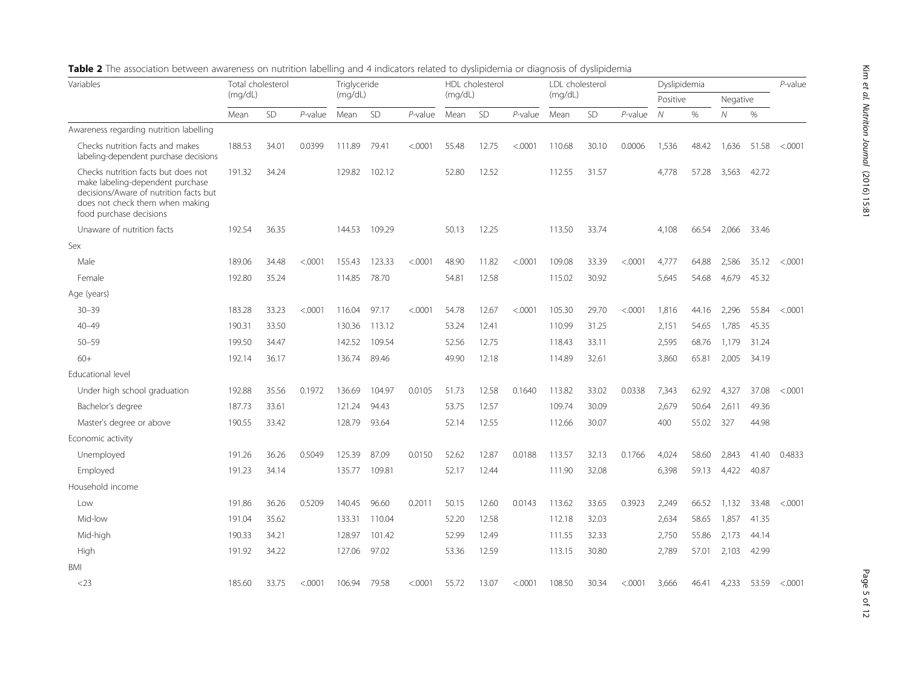| Variables                                                                                                                                                                       | Total cholesterol |       |            | Triglyceride |        |         |         | HDL cholesterol |            | LDL cholesterol |           | Dyslipidemia | $P$ -value     |       |              |       |         |
|---------------------------------------------------------------------------------------------------------------------------------------------------------------------------------|-------------------|-------|------------|--------------|--------|---------|---------|-----------------|------------|-----------------|-----------|--------------|----------------|-------|--------------|-------|---------|
|                                                                                                                                                                                 | (mq/dL)           |       |            | (mq/dL)      |        |         | (mq/dL) |                 |            | (mq/dL)         |           |              | Positive       |       | Negative     |       |         |
|                                                                                                                                                                                 | Mean              | SD    | $P$ -value | Mean         | SD     | P-value | Mean    | SD              | $P$ -value | Mean            | <b>SD</b> | $P$ -value   | $\overline{N}$ | %     | $\mathcal N$ | $\%$  |         |
| Awareness regarding nutrition labelling                                                                                                                                         |                   |       |            |              |        |         |         |                 |            |                 |           |              |                |       |              |       |         |
| Checks nutrition facts and makes<br>labeling-dependent purchase decisions                                                                                                       | 188.53            | 34.01 | 0.0399     | 111.89       | 79.41  | < .0001 | 55.48   | 12.75           | < .0001    | 110.68          | 30.10     | 0.0006       | 1,536          | 48.42 | 1,636        | 51.58 | < .0001 |
| Checks nutrition facts but does not<br>make labeling-dependent purchase<br>decisions/Aware of nutrition facts but<br>does not check them when making<br>food purchase decisions | 191.32            | 34.24 |            | 129.82       | 102.12 |         | 52.80   | 12.52           |            | 112.55          | 31.57     |              | 4,778          | 57.28 | 3,563        | 42.72 |         |
| Unaware of nutrition facts                                                                                                                                                      | 192.54            | 36.35 |            | 144.53       | 109.29 |         | 50.13   | 12.25           |            | 113.50          | 33.74     |              | 4,108          | 66.54 | 2,066        | 33.46 |         |
| Sex                                                                                                                                                                             |                   |       |            |              |        |         |         |                 |            |                 |           |              |                |       |              |       |         |
| Male                                                                                                                                                                            | 189.06            | 34.48 | < .0001    | 155.43       | 123.33 | < .0001 | 48.90   | 11.82           | < .0001    | 109.08          | 33.39     | < .0001      | 4,777          | 64.88 | 2.586        | 35.12 | < .0001 |
| Female                                                                                                                                                                          | 192.80            | 35.24 |            | 114.85       | 78.70  |         | 54.81   | 12.58           |            | 115.02          | 30.92     |              | 5,645          | 54.68 | 4,679        | 45.32 |         |
| Age (years)                                                                                                                                                                     |                   |       |            |              |        |         |         |                 |            |                 |           |              |                |       |              |       |         |
| $30 - 39$                                                                                                                                                                       | 183.28            | 33.23 | < .0001    | 116.04       | 97.17  | < .0001 | 54.78   | 12.67           | < .0001    | 105.30          | 29.70     | < .0001      | 1,816          | 44.16 | 2.296        | 55.84 | < .0001 |
| $40 - 49$                                                                                                                                                                       | 190.31            | 33.50 |            | 130.36       | 113.12 |         | 53.24   | 12.41           |            | 110.99          | 31.25     |              | 2,151          | 54.65 | 1,785        | 45.35 |         |
| $50 - 59$                                                                                                                                                                       | 199.50            | 34.47 |            | 142.52       | 109.54 |         | 52.56   | 12.75           |            | 118.43          | 33.11     |              | 2,595          | 68.76 | 1,179        | 31.24 |         |
| $60+$                                                                                                                                                                           | 192.14            | 36.17 |            | 136.74       | 89.46  |         | 49.90   | 12.18           |            | 114.89          | 32.61     |              | 3,860          | 65.81 | 2,005        | 34.19 |         |
| Educational level                                                                                                                                                               |                   |       |            |              |        |         |         |                 |            |                 |           |              |                |       |              |       |         |
| Under high school graduation                                                                                                                                                    | 192.88            | 35.56 | 0.1972     | 136.69       | 104.97 | 0.0105  | 51.73   | 12.58           | 0.1640     | 113.82          | 33.02     | 0.0338       | 7,343          | 62.92 | 4.327        | 37.08 | < .0001 |
| Bachelor's degree                                                                                                                                                               | 187.73            | 33.61 |            | 121.24       | 94.43  |         | 53.75   | 12.57           |            | 109.74          | 30.09     |              | 2,679          | 50.64 | 2,611        | 49.36 |         |
| Master's degree or above                                                                                                                                                        | 190.55            | 33.42 |            | 128.79       | 93.64  |         | 52.14   | 12.55           |            | 112.66          | 30.07     |              | 400            | 55.02 | 327          | 44.98 |         |
| Economic activity                                                                                                                                                               |                   |       |            |              |        |         |         |                 |            |                 |           |              |                |       |              |       |         |
| Unemployed                                                                                                                                                                      | 191.26            | 36.26 | 0.5049     | 125.39       | 87.09  | 0.0150  | 52.62   | 12.87           | 0.0188     | 113.57          | 32.13     | 0.1766       | 4,024          | 58.60 | 2.843        | 41.40 | 0.4833  |
| Employed                                                                                                                                                                        | 191.23            | 34.14 |            | 135.77       | 109.81 |         | 52.17   | 12.44           |            | 111.90          | 32.08     |              | 6,398          | 59.13 | 4,422        | 40.87 |         |
| Household income                                                                                                                                                                |                   |       |            |              |        |         |         |                 |            |                 |           |              |                |       |              |       |         |
| Low                                                                                                                                                                             | 191.86            | 36.26 | 0.5209     | 140.45       | 96.60  | 0.2011  | 50.15   | 12.60           | 0.0143     | 113.62          | 33.65     | 0.3923       | 2,249          | 66.52 | 1.132        | 33.48 | < .0001 |
| Mid-low                                                                                                                                                                         | 191.04            | 35.62 |            | 133.31       | 110.04 |         | 52.20   | 12.58           |            | 112.18          | 32.03     |              | 2,634          | 58.65 | 1,857        | 41.35 |         |
| Mid-high                                                                                                                                                                        | 190.33            | 34.21 |            | 128.97       | 101.42 |         | 52.99   | 12.49           |            | 111.55          | 32.33     |              | 2,750          | 55.86 | 2,173        | 44.14 |         |
| High                                                                                                                                                                            | 191.92            | 34.22 |            | 127.06       | 97.02  |         | 53.36   | 12.59           |            | 113.15          | 30.80     |              | 2,789          | 57.01 | 2,103        | 42.99 |         |
| <b>BMI</b>                                                                                                                                                                      |                   |       |            |              |        |         |         |                 |            |                 |           |              |                |       |              |       |         |
| $<$ 23                                                                                                                                                                          | 185.60            | 33.75 | < .0001    | 106.94       | 79.58  | < .0001 | 55.72   | 13.07           | < .0001    | 108.50          | 30.34     | < .0001      | 3,666          | 46.41 | 4.233        | 53.59 | < .0001 |

<span id="page-4-0"></span>Table 2 The association between awareness on nutrition labelling and 4 indicators related to dyslipidemia or diagnosis of dyslipidemia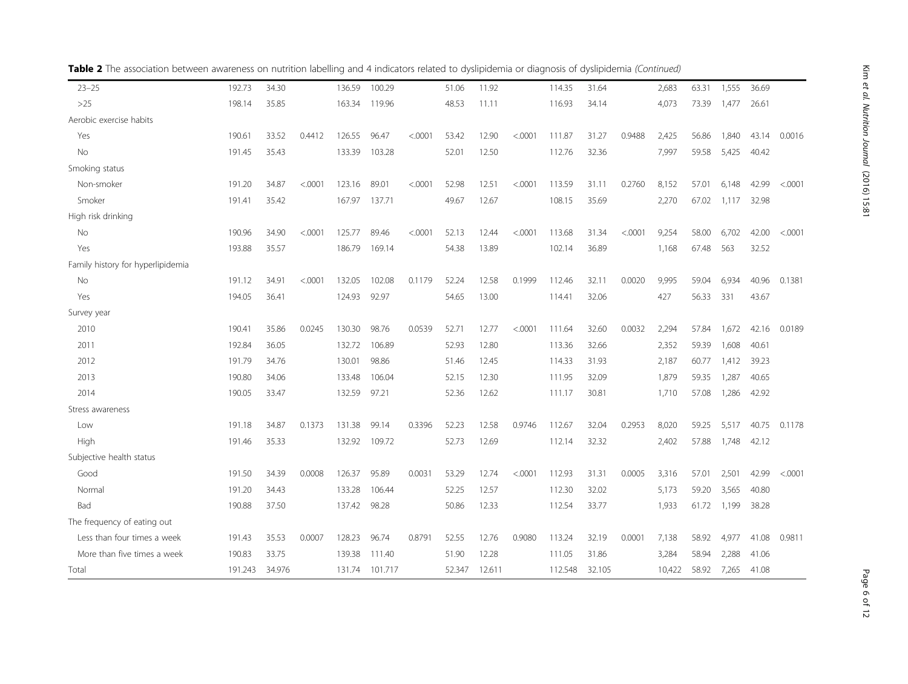|  |  | Table 2 The association between awareness on nutrition labelling and 4 indicators related to dyslipidemia or diagnosis of dyslipidemia (Continued) |  |  |  |  |  |  |
|--|--|----------------------------------------------------------------------------------------------------------------------------------------------------|--|--|--|--|--|--|
|--|--|----------------------------------------------------------------------------------------------------------------------------------------------------|--|--|--|--|--|--|

| $23 - 25$                         | 192.73  | 34.30  |         | 136.59 | 100.29  |         | 51.06  | 11.92  |         | 114.35  | 31.64  |         | 2,683  | 63.31 | 1,555 | 36.69 |         |
|-----------------------------------|---------|--------|---------|--------|---------|---------|--------|--------|---------|---------|--------|---------|--------|-------|-------|-------|---------|
| $>25$                             | 198.14  | 35.85  |         | 163.34 | 119.96  |         | 48.53  | 11.11  |         | 116.93  | 34.14  |         | 4,073  | 73.39 | 1,477 | 26.61 |         |
| Aerobic exercise habits           |         |        |         |        |         |         |        |        |         |         |        |         |        |       |       |       |         |
| Yes                               | 190.61  | 33.52  | 0.4412  | 126.55 | 96.47   | < .0001 | 53.42  | 12.90  | < .0001 | 111.87  | 31.27  | 0.9488  | 2,425  | 56.86 | 1.840 | 43.14 | 0.0016  |
| No                                | 191.45  | 35.43  |         | 133.39 | 103.28  |         | 52.01  | 12.50  |         | 112.76  | 32.36  |         | 7,997  | 59.58 | 5,425 | 40.42 |         |
| Smoking status                    |         |        |         |        |         |         |        |        |         |         |        |         |        |       |       |       |         |
| Non-smoker                        | 191.20  | 34.87  | < .0001 | 123.16 | 89.01   | < .0001 | 52.98  | 12.51  | < .0001 | 113.59  | 31.11  | 0.2760  | 8,152  | 57.01 | 6,148 | 42.99 | < .0001 |
| Smoker                            | 191.41  | 35.42  |         | 167.97 | 137.71  |         | 49.67  | 12.67  |         | 108.15  | 35.69  |         | 2,270  | 67.02 | 1,117 | 32.98 |         |
| High risk drinking                |         |        |         |        |         |         |        |        |         |         |        |         |        |       |       |       |         |
| No                                | 190.96  | 34.90  | < 0001  | 125.77 | 89.46   | < .0001 | 52.13  | 12.44  | < .0001 | 113.68  | 31.34  | < .0001 | 9,254  | 58.00 | 6,702 | 42.00 | < .0001 |
| Yes                               | 193.88  | 35.57  |         | 186.79 | 169.14  |         | 54.38  | 13.89  |         | 102.14  | 36.89  |         | 1,168  | 67.48 | 563   | 32.52 |         |
| Family history for hyperlipidemia |         |        |         |        |         |         |        |        |         |         |        |         |        |       |       |       |         |
| No                                | 191.12  | 34.91  | < .0001 | 132.05 | 102.08  | 0.1179  | 52.24  | 12.58  | 0.1999  | 112.46  | 32.11  | 0.0020  | 9,995  | 59.04 | 6,934 | 40.96 | 0.1381  |
| Yes                               | 194.05  | 36.41  |         | 124.93 | 92.97   |         | 54.65  | 13.00  |         | 114.41  | 32.06  |         | 427    | 56.33 | 331   | 43.67 |         |
| Survey year                       |         |        |         |        |         |         |        |        |         |         |        |         |        |       |       |       |         |
| 2010                              | 190.41  | 35.86  | 0.0245  | 130.30 | 98.76   | 0.0539  | 52.71  | 12.77  | < .0001 | 111.64  | 32.60  | 0.0032  | 2,294  | 57.84 | 1,672 | 42.16 | 0.0189  |
| 2011                              | 192.84  | 36.05  |         | 132.72 | 106.89  |         | 52.93  | 12.80  |         | 113.36  | 32.66  |         | 2,352  | 59.39 | 1,608 | 40.61 |         |
| 2012                              | 191.79  | 34.76  |         | 130.01 | 98.86   |         | 51.46  | 12.45  |         | 114.33  | 31.93  |         | 2,187  | 60.77 | 1,412 | 39.23 |         |
| 2013                              | 190.80  | 34.06  |         | 133.48 | 106.04  |         | 52.15  | 12.30  |         | 111.95  | 32.09  |         | 1,879  | 59.35 | 1,287 | 40.65 |         |
| 2014                              | 190.05  | 33.47  |         | 132.59 | 97.21   |         | 52.36  | 12.62  |         | 111.17  | 30.81  |         | 1,710  | 57.08 | 1,286 | 42.92 |         |
| Stress awareness                  |         |        |         |        |         |         |        |        |         |         |        |         |        |       |       |       |         |
| Low                               | 191.18  | 34.87  | 0.1373  | 131.38 | 99.14   | 0.3396  | 52.23  | 12.58  | 0.9746  | 112.67  | 32.04  | 0.2953  | 8,020  | 59.25 | 5,517 | 40.75 | 0.1178  |
| High                              | 191.46  | 35.33  |         | 132.92 | 109.72  |         | 52.73  | 12.69  |         | 112.14  | 32.32  |         | 2,402  | 57.88 | 1,748 | 42.12 |         |
| Subjective health status          |         |        |         |        |         |         |        |        |         |         |        |         |        |       |       |       |         |
| Good                              | 191.50  | 34.39  | 0.0008  | 126.37 | 95.89   | 0.0031  | 53.29  | 12.74  | < .0001 | 112.93  | 31.31  | 0.0005  | 3,316  | 57.01 | 2,501 | 42.99 | < .0001 |
| Normal                            | 191.20  | 34.43  |         | 133.28 | 106.44  |         | 52.25  | 12.57  |         | 112.30  | 32.02  |         | 5,173  | 59.20 | 3,565 | 40.80 |         |
| Bad                               | 190.88  | 37.50  |         | 137.42 | 98.28   |         | 50.86  | 12.33  |         | 112.54  | 33.77  |         | 1,933  | 61.72 | 1,199 | 38.28 |         |
| The frequency of eating out       |         |        |         |        |         |         |        |        |         |         |        |         |        |       |       |       |         |
| Less than four times a week       | 191.43  | 35.53  | 0.0007  | 128.23 | 96.74   | 0.8791  | 52.55  | 12.76  | 0.9080  | 113.24  | 32.19  | 0.0001  | 7,138  | 58.92 | 4,977 | 41.08 | 0.9811  |
| More than five times a week       | 190.83  | 33.75  |         | 139.38 | 111.40  |         | 51.90  | 12.28  |         | 111.05  | 31.86  |         | 3,284  | 58.94 | 2,288 | 41.06 |         |
| Total                             | 191.243 | 34.976 |         | 131.74 | 101.717 |         | 52.347 | 12.611 |         | 112.548 | 32.105 |         | 10,422 | 58.92 | 7,265 | 41.08 |         |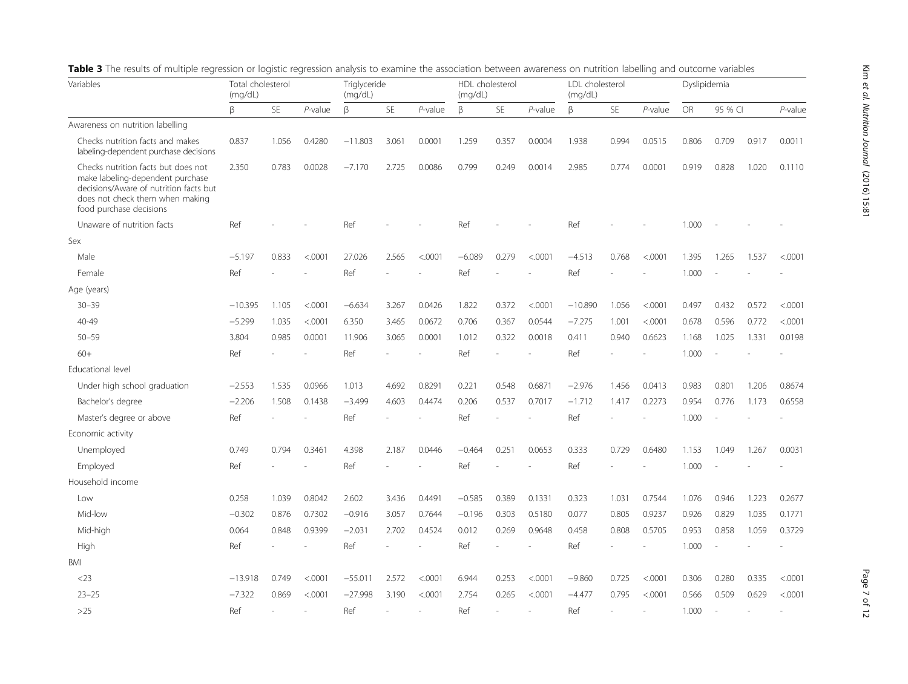| Variables                                                                                                                                                                       | Total cholesterol<br>(mq/dL) |       |            | Triglyceride<br>(mq/dL) |       |            | HDL cholesterol<br>(mq/dL) |       |         | LDL cholesterol<br>(mq/dL) |           |            | Dyslipidemia |         |       |         |
|---------------------------------------------------------------------------------------------------------------------------------------------------------------------------------|------------------------------|-------|------------|-------------------------|-------|------------|----------------------------|-------|---------|----------------------------|-----------|------------|--------------|---------|-------|---------|
|                                                                                                                                                                                 | β                            | SE    | $P$ -value | $\beta$                 | SE    | $P$ -value | $\beta$                    | SE    | P-value | ß                          | <b>SE</b> | $P$ -value | <b>OR</b>    | 95 % CI |       | P-value |
| Awareness on nutrition labelling                                                                                                                                                |                              |       |            |                         |       |            |                            |       |         |                            |           |            |              |         |       |         |
| Checks nutrition facts and makes<br>labeling-dependent purchase decisions                                                                                                       | 0.837                        | 1.056 | 0.4280     | $-11.803$               | 3.061 | 0.0001     | 1.259                      | 0.357 | 0.0004  | 1.938                      | 0.994     | 0.0515     | 0.806        | 0.709   | 0.917 | 0.0011  |
| Checks nutrition facts but does not<br>make labeling-dependent purchase<br>decisions/Aware of nutrition facts but<br>does not check them when making<br>food purchase decisions | 2.350                        | 0.783 | 0.0028     | $-7.170$                | 2.725 | 0.0086     | 0.799                      | 0.249 | 0.0014  | 2.985                      | 0.774     | 0.0001     | 0.919        | 0.828   | 1.020 | 0.1110  |
| Unaware of nutrition facts                                                                                                                                                      | Ref                          |       |            | Ref                     |       |            | Ref                        |       |         | Ref                        |           |            | 1.000        |         |       |         |
| Sex                                                                                                                                                                             |                              |       |            |                         |       |            |                            |       |         |                            |           |            |              |         |       |         |
| Male                                                                                                                                                                            | $-5.197$                     | 0.833 | < .0001    | 27.026                  | 2.565 | < .0001    | $-6.089$                   | 0.279 | < .0001 | $-4.513$                   | 0.768     | < .0001    | 1.395        | 1.265   | 1.537 | < .0001 |
| Female                                                                                                                                                                          | Ref                          |       |            | Ref                     |       |            | Ref                        |       |         | Ref                        |           |            | 1.000        |         |       |         |
| Age (years)                                                                                                                                                                     |                              |       |            |                         |       |            |                            |       |         |                            |           |            |              |         |       |         |
| $30 - 39$                                                                                                                                                                       | $-10.395$                    | 1.105 | < .0001    | $-6.634$                | 3.267 | 0.0426     | 1.822                      | 0.372 | < .0001 | $-10.890$                  | 1.056     | < .0001    | 0.497        | 0.432   | 0.572 | < .0001 |
| 40-49                                                                                                                                                                           | $-5.299$                     | 1.035 | < .0001    | 6.350                   | 3.465 | 0.0672     | 0.706                      | 0.367 | 0.0544  | $-7.275$                   | 1.001     | < .0001    | 0.678        | 0.596   | 0.772 | < .0001 |
| $50 - 59$                                                                                                                                                                       | 3.804                        | 0.985 | 0.0001     | 11.906                  | 3.065 | 0.0001     | 1.012                      | 0.322 | 0.0018  | 0.411                      | 0.940     | 0.6623     | 1.168        | 1.025   | 1.331 | 0.0198  |
| $60+$                                                                                                                                                                           | Ref                          |       |            | Ref                     |       |            | Ref                        |       |         | Ref                        |           |            | 1.000        |         |       |         |
| Educational level                                                                                                                                                               |                              |       |            |                         |       |            |                            |       |         |                            |           |            |              |         |       |         |
| Under high school graduation                                                                                                                                                    | $-2.553$                     | 1.535 | 0.0966     | 1.013                   | 4.692 | 0.8291     | 0.221                      | 0.548 | 0.6871  | $-2.976$                   | 1.456     | 0.0413     | 0.983        | 0.801   | 1.206 | 0.8674  |
| Bachelor's degree                                                                                                                                                               | $-2.206$                     | 1.508 | 0.1438     | $-3.499$                | 4.603 | 0.4474     | 0.206                      | 0.537 | 0.7017  | $-1.712$                   | 1.417     | 0.2273     | 0.954        | 0.776   | 1.173 | 0.6558  |
| Master's degree or above                                                                                                                                                        | Ref                          |       |            | Ref                     |       |            | Ref                        |       |         | Ref                        |           |            | 1.000        |         |       |         |
| Economic activity                                                                                                                                                               |                              |       |            |                         |       |            |                            |       |         |                            |           |            |              |         |       |         |
| Unemployed                                                                                                                                                                      | 0.749                        | 0.794 | 0.3461     | 4.398                   | 2.187 | 0.0446     | $-0.464$                   | 0.251 | 0.0653  | 0.333                      | 0.729     | 0.6480     | 1.153        | 1.049   | 1.267 | 0.0031  |
| Employed                                                                                                                                                                        | Ref                          |       |            | Ref                     |       |            | Ref                        |       |         | Ref                        |           |            | 1.000        |         |       |         |
| Household income                                                                                                                                                                |                              |       |            |                         |       |            |                            |       |         |                            |           |            |              |         |       |         |
| Low                                                                                                                                                                             | 0.258                        | 1.039 | 0.8042     | 2.602                   | 3.436 | 0.4491     | $-0.585$                   | 0.389 | 0.1331  | 0.323                      | 1.031     | 0.7544     | 1.076        | 0.946   | 1.223 | 0.2677  |
| Mid-low                                                                                                                                                                         | $-0.302$                     | 0.876 | 0.7302     | $-0.916$                | 3.057 | 0.7644     | $-0.196$                   | 0.303 | 0.5180  | 0.077                      | 0.805     | 0.9237     | 0.926        | 0.829   | 1.035 | 0.1771  |
| Mid-high                                                                                                                                                                        | 0.064                        | 0.848 | 0.9399     | $-2.031$                | 2.702 | 0.4524     | 0.012                      | 0.269 | 0.9648  | 0.458                      | 0.808     | 0.5705     | 0.953        | 0.858   | 1.059 | 0.3729  |
| High                                                                                                                                                                            | Ref                          |       |            | Ref                     |       |            | Ref                        |       |         | Ref                        |           |            | 1.000        |         |       |         |
| BMI                                                                                                                                                                             |                              |       |            |                         |       |            |                            |       |         |                            |           |            |              |         |       |         |
| $<$ 23                                                                                                                                                                          | $-13.918$                    | 0.749 | < .0001    | $-55.011$               | 2.572 | < .0001    | 6.944                      | 0.253 | < .0001 | $-9.860$                   | 0.725     | < .0001    | 0.306        | 0.280   | 0.335 | < .0001 |
| $23 - 25$                                                                                                                                                                       | $-7.322$                     | 0.869 | < .0001    | $-27.998$               | 3.190 | < .0001    | 2.754                      | 0.265 | < .0001 | $-4.477$                   | 0.795     | < .0001    | 0.566        | 0.509   | 0.629 | < .0001 |
| $>25$                                                                                                                                                                           | Ref                          |       |            | Ref                     |       |            | Ref                        |       |         | Ref                        |           |            | 1.000        |         |       |         |

<span id="page-6-0"></span>Table 3 The results of multiple regression or logistic regression analysis to examine the association between awareness on nutrition labelling and outcome variables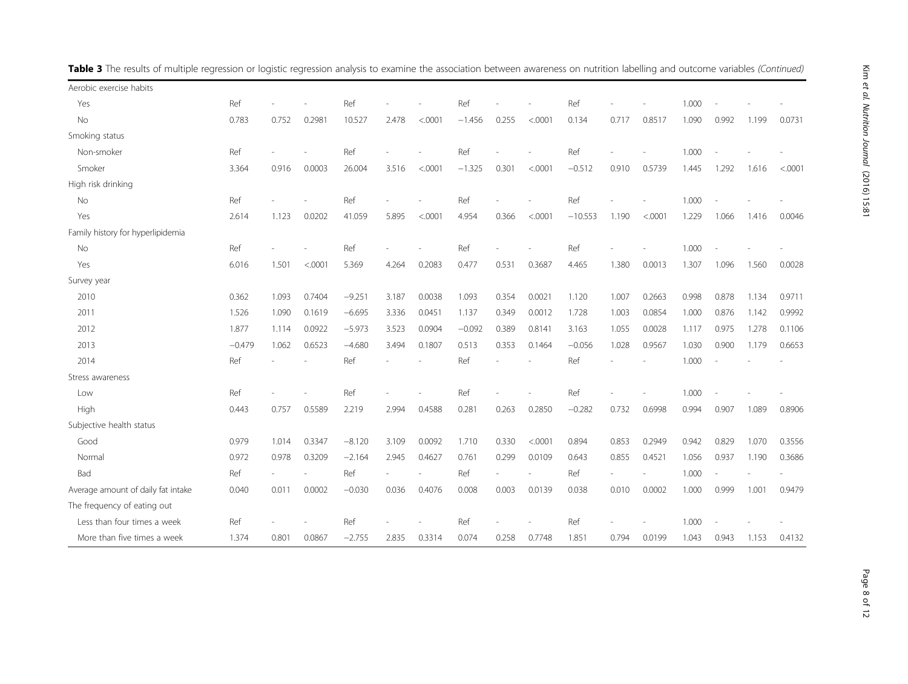| Aerobic exercise habits            |          |       |         |          |       |         |          |       |         |           |       |         |       |       |       |         |
|------------------------------------|----------|-------|---------|----------|-------|---------|----------|-------|---------|-----------|-------|---------|-------|-------|-------|---------|
| Yes                                | Ref      |       |         | Ref      |       |         | Ref      |       |         | Ref       |       |         | 1.000 |       |       |         |
| No                                 | 0.783    | 0.752 | 0.2981  | 10.527   | 2.478 | < .0001 | $-1.456$ | 0.255 | < .0001 | 0.134     | 0.717 | 0.8517  | 1.090 | 0.992 | 1.199 | 0.0731  |
| Smoking status                     |          |       |         |          |       |         |          |       |         |           |       |         |       |       |       |         |
| Non-smoker                         | Ref      |       |         | Ref      |       |         | Ref      |       |         | Ref       |       |         | 1.000 |       |       |         |
| Smoker                             | 3.364    | 0.916 | 0.0003  | 26.004   | 3.516 | < .0001 | $-1.325$ | 0.301 | < .0001 | $-0.512$  | 0.910 | 0.5739  | 1.445 | 1.292 | 1.616 | < .0001 |
| High risk drinking                 |          |       |         |          |       |         |          |       |         |           |       |         |       |       |       |         |
| No                                 | Ref      |       |         | Ref      |       |         | Ref      |       |         | Ref       |       |         | 1.000 |       |       |         |
| Yes                                | 2.614    | 1.123 | 0.0202  | 41.059   | 5.895 | < .0001 | 4.954    | 0.366 | < .0001 | $-10.553$ | 1.190 | < .0001 | 1.229 | 1.066 | 1.416 | 0.0046  |
| Family history for hyperlipidemia  |          |       |         |          |       |         |          |       |         |           |       |         |       |       |       |         |
| No                                 | Ref      |       |         | Ref      |       |         | Ref      |       |         | Ref       |       |         | 1.000 |       |       |         |
| Yes                                | 6.016    | 1.501 | < .0001 | 5.369    | 4.264 | 0.2083  | 0.477    | 0.531 | 0.3687  | 4.465     | 1.380 | 0.0013  | 1.307 | 1.096 | 1.560 | 0.0028  |
| Survey year                        |          |       |         |          |       |         |          |       |         |           |       |         |       |       |       |         |
| 2010                               | 0.362    | 1.093 | 0.7404  | $-9.251$ | 3.187 | 0.0038  | 1.093    | 0.354 | 0.0021  | 1.120     | 1.007 | 0.2663  | 0.998 | 0.878 | 1.134 | 0.9711  |
| 2011                               | 1.526    | 1.090 | 0.1619  | $-6.695$ | 3.336 | 0.0451  | 1.137    | 0.349 | 0.0012  | 1.728     | 1.003 | 0.0854  | 1.000 | 0.876 | 1.142 | 0.9992  |
| 2012                               | 1.877    | 1.114 | 0.0922  | $-5.973$ | 3.523 | 0.0904  | $-0.092$ | 0.389 | 0.8141  | 3.163     | 1.055 | 0.0028  | 1.117 | 0.975 | 1.278 | 0.1106  |
| 2013                               | $-0.479$ | 1.062 | 0.6523  | $-4.680$ | 3.494 | 0.1807  | 0.513    | 0.353 | 0.1464  | $-0.056$  | 1.028 | 0.9567  | 1.030 | 0.900 | 1.179 | 0.6653  |
| 2014                               | Ref      |       |         | Ref      |       |         | Ref      |       |         | Ref       |       |         | 1.000 |       |       |         |
| Stress awareness                   |          |       |         |          |       |         |          |       |         |           |       |         |       |       |       |         |
| Low                                | Ref      |       |         | Ref      |       |         | Ref      |       |         | Ref       |       |         | 1.000 |       |       |         |
| High                               | 0.443    | 0.757 | 0.5589  | 2.219    | 2.994 | 0.4588  | 0.281    | 0.263 | 0.2850  | $-0.282$  | 0.732 | 0.6998  | 0.994 | 0.907 | 1.089 | 0.8906  |
| Subjective health status           |          |       |         |          |       |         |          |       |         |           |       |         |       |       |       |         |
| Good                               | 0.979    | 1.014 | 0.3347  | $-8.120$ | 3.109 | 0.0092  | 1.710    | 0.330 | < .0001 | 0.894     | 0.853 | 0.2949  | 0.942 | 0.829 | 1.070 | 0.3556  |
| Normal                             | 0.972    | 0.978 | 0.3209  | $-2.164$ | 2.945 | 0.4627  | 0.761    | 0.299 | 0.0109  | 0.643     | 0.855 | 0.4521  | 1.056 | 0.937 | 1.190 | 0.3686  |
| Bad                                | Ref      |       |         | Ref      |       |         | Ref      |       |         | Ref       |       |         | 1.000 |       |       |         |
| Average amount of daily fat intake | 0.040    | 0.011 | 0.0002  | $-0.030$ | 0.036 | 0.4076  | 0.008    | 0.003 | 0.0139  | 0.038     | 0.010 | 0.0002  | 1.000 | 0.999 | 1.001 | 0.9479  |
| The frequency of eating out        |          |       |         |          |       |         |          |       |         |           |       |         |       |       |       |         |
| Less than four times a week        | Ref      |       |         | Ref      |       |         | Ref      |       |         | Ref       |       |         | 1.000 |       |       |         |
| More than five times a week        | 1.374    | 0.801 | 0.0867  | $-2.755$ | 2.835 | 0.3314  | 0.074    | 0.258 | 0.7748  | 1.851     | 0.794 | 0.0199  | 1.043 | 0.943 | 1.153 | 0.4132  |

Table 3 The results of multiple regression or logistic regression analysis to examine the association between awareness on nutrition labelling and outcome variables (Continued)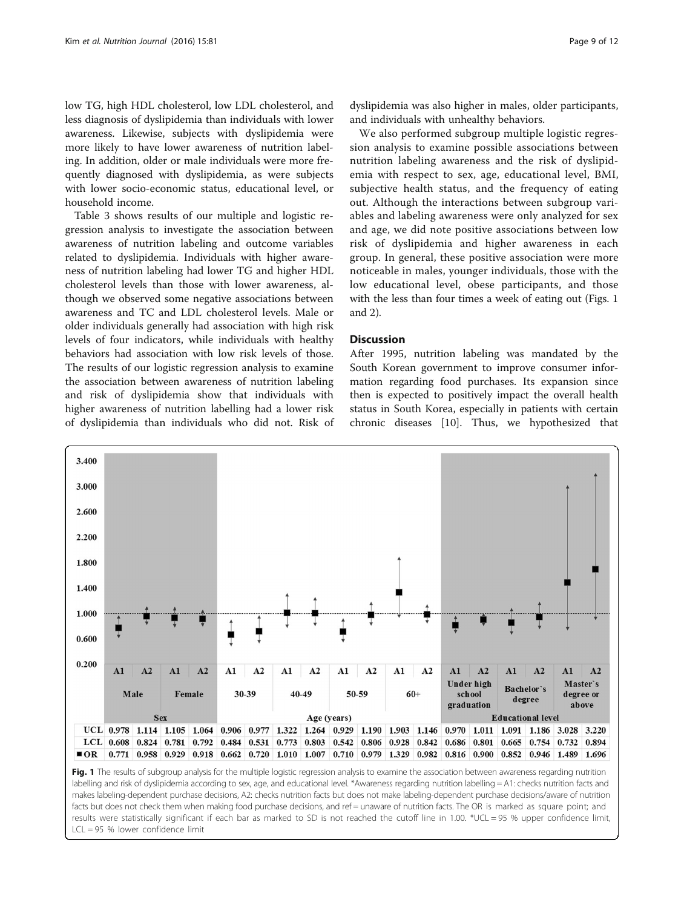low TG, high HDL cholesterol, low LDL cholesterol, and less diagnosis of dyslipidemia than individuals with lower awareness. Likewise, subjects with dyslipidemia were more likely to have lower awareness of nutrition labeling. In addition, older or male individuals were more frequently diagnosed with dyslipidemia, as were subjects with lower socio-economic status, educational level, or household income.

Table [3](#page-6-0) shows results of our multiple and logistic regression analysis to investigate the association between awareness of nutrition labeling and outcome variables related to dyslipidemia. Individuals with higher awareness of nutrition labeling had lower TG and higher HDL cholesterol levels than those with lower awareness, although we observed some negative associations between awareness and TC and LDL cholesterol levels. Male or older individuals generally had association with high risk levels of four indicators, while individuals with healthy behaviors had association with low risk levels of those. The results of our logistic regression analysis to examine the association between awareness of nutrition labeling and risk of dyslipidemia show that individuals with higher awareness of nutrition labelling had a lower risk of dyslipidemia than individuals who did not. Risk of

dyslipidemia was also higher in males, older participants, and individuals with unhealthy behaviors.

We also performed subgroup multiple logistic regression analysis to examine possible associations between nutrition labeling awareness and the risk of dyslipidemia with respect to sex, age, educational level, BMI, subjective health status, and the frequency of eating out. Although the interactions between subgroup variables and labeling awareness were only analyzed for sex and age, we did note positive associations between low risk of dyslipidemia and higher awareness in each group. In general, these positive association were more noticeable in males, younger individuals, those with the low educational level, obese participants, and those with the less than four times a week of eating out (Figs. 1 and [2](#page-9-0)).

## **Discussion**

After 1995, nutrition labeling was mandated by the South Korean government to improve consumer information regarding food purchases. Its expansion since then is expected to positively impact the overall health status in South Korea, especially in patients with certain chronic diseases [\[10](#page-11-0)]. Thus, we hypothesized that



labelling and risk of dyslipidemia according to sex, age, and educational level. \*Awareness regarding nutrition labelling = A1: checks nutrition facts and makes labeling-dependent purchase decisions, A2: checks nutrition facts but does not make labeling-dependent purchase decisions/aware of nutrition facts but does not check them when making food purchase decisions, and ref = unaware of nutrition facts. The OR is marked as square point; and results were statistically significant if each bar as marked to SD is not reached the cutoff line in 1.00. \*UCL = 95 % upper confidence limit, LCL = 95 % lower confidence limit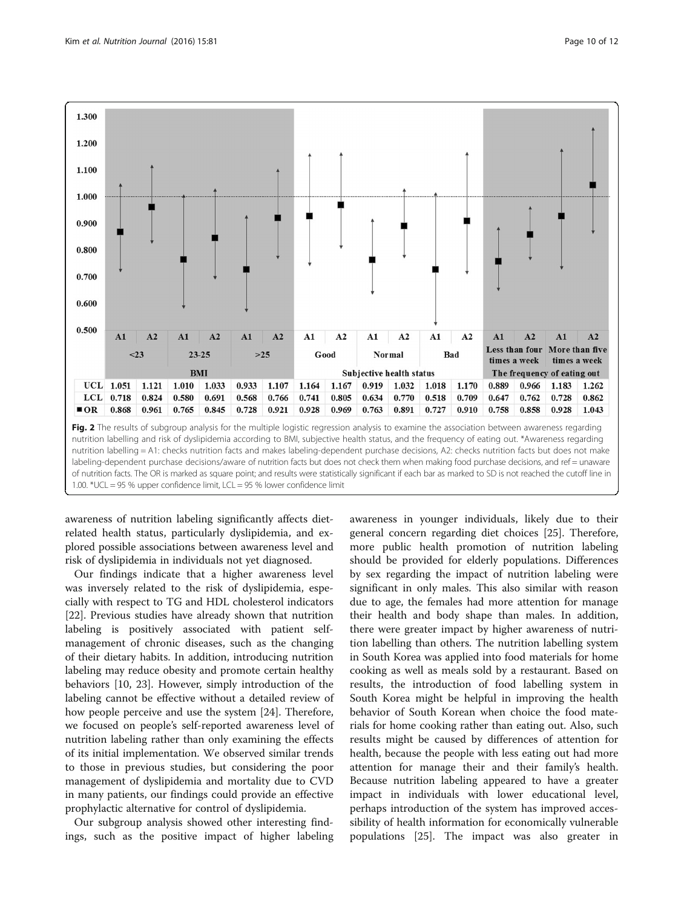<span id="page-9-0"></span>

awareness of nutrition labeling significantly affects dietrelated health status, particularly dyslipidemia, and explored possible associations between awareness level and risk of dyslipidemia in individuals not yet diagnosed.

Our findings indicate that a higher awareness level was inversely related to the risk of dyslipidemia, especially with respect to TG and HDL cholesterol indicators [[22\]](#page-11-0). Previous studies have already shown that nutrition labeling is positively associated with patient selfmanagement of chronic diseases, such as the changing of their dietary habits. In addition, introducing nutrition labeling may reduce obesity and promote certain healthy behaviors [[10](#page-11-0), [23](#page-11-0)]. However, simply introduction of the labeling cannot be effective without a detailed review of how people perceive and use the system [[24\]](#page-11-0). Therefore, we focused on people's self-reported awareness level of nutrition labeling rather than only examining the effects of its initial implementation. We observed similar trends to those in previous studies, but considering the poor management of dyslipidemia and mortality due to CVD in many patients, our findings could provide an effective prophylactic alternative for control of dyslipidemia.

Our subgroup analysis showed other interesting findings, such as the positive impact of higher labeling awareness in younger individuals, likely due to their general concern regarding diet choices [[25](#page-11-0)]. Therefore, more public health promotion of nutrition labeling should be provided for elderly populations. Differences by sex regarding the impact of nutrition labeling were significant in only males. This also similar with reason due to age, the females had more attention for manage their health and body shape than males. In addition, there were greater impact by higher awareness of nutrition labelling than others. The nutrition labelling system in South Korea was applied into food materials for home cooking as well as meals sold by a restaurant. Based on results, the introduction of food labelling system in South Korea might be helpful in improving the health behavior of South Korean when choice the food materials for home cooking rather than eating out. Also, such results might be caused by differences of attention for health, because the people with less eating out had more attention for manage their and their family's health. Because nutrition labeling appeared to have a greater impact in individuals with lower educational level, perhaps introduction of the system has improved accessibility of health information for economically vulnerable populations [[25\]](#page-11-0). The impact was also greater in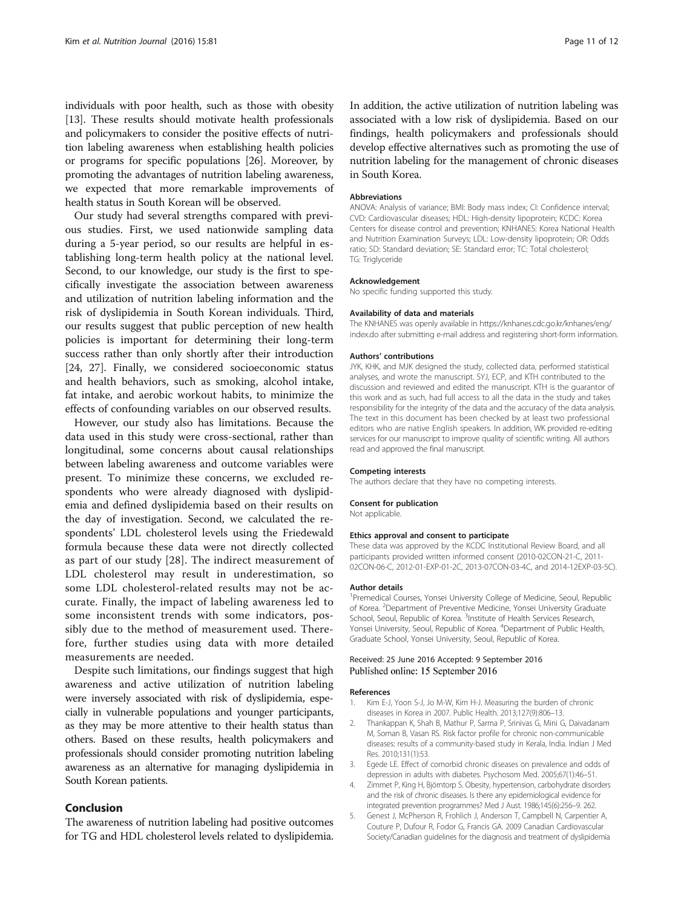<span id="page-10-0"></span>individuals with poor health, such as those with obesity [[13](#page-11-0)]. These results should motivate health professionals and policymakers to consider the positive effects of nutrition labeling awareness when establishing health policies or programs for specific populations [[26](#page-11-0)]. Moreover, by promoting the advantages of nutrition labeling awareness, we expected that more remarkable improvements of health status in South Korean will be observed.

Our study had several strengths compared with previous studies. First, we used nationwide sampling data during a 5-year period, so our results are helpful in establishing long-term health policy at the national level. Second, to our knowledge, our study is the first to specifically investigate the association between awareness and utilization of nutrition labeling information and the risk of dyslipidemia in South Korean individuals. Third, our results suggest that public perception of new health policies is important for determining their long-term success rather than only shortly after their introduction [[24, 27](#page-11-0)]. Finally, we considered socioeconomic status and health behaviors, such as smoking, alcohol intake, fat intake, and aerobic workout habits, to minimize the effects of confounding variables on our observed results.

However, our study also has limitations. Because the data used in this study were cross-sectional, rather than longitudinal, some concerns about causal relationships between labeling awareness and outcome variables were present. To minimize these concerns, we excluded respondents who were already diagnosed with dyslipidemia and defined dyslipidemia based on their results on the day of investigation. Second, we calculated the respondents' LDL cholesterol levels using the Friedewald formula because these data were not directly collected as part of our study [\[28](#page-11-0)]. The indirect measurement of LDL cholesterol may result in underestimation, so some LDL cholesterol-related results may not be accurate. Finally, the impact of labeling awareness led to some inconsistent trends with some indicators, possibly due to the method of measurement used. Therefore, further studies using data with more detailed measurements are needed.

Despite such limitations, our findings suggest that high awareness and active utilization of nutrition labeling were inversely associated with risk of dyslipidemia, especially in vulnerable populations and younger participants, as they may be more attentive to their health status than others. Based on these results, health policymakers and professionals should consider promoting nutrition labeling awareness as an alternative for managing dyslipidemia in South Korean patients.

# Conclusion

The awareness of nutrition labeling had positive outcomes for TG and HDL cholesterol levels related to dyslipidemia. In addition, the active utilization of nutrition labeling was associated with a low risk of dyslipidemia. Based on our findings, health policymakers and professionals should develop effective alternatives such as promoting the use of nutrition labeling for the management of chronic diseases in South Korea.

#### Abbreviations

ANOVA: Analysis of variance; BMI: Body mass index; CI: Confidence interval; CVD: Cardiovascular diseases; HDL: High-density lipoprotein; KCDC: Korea Centers for disease control and prevention; KNHANES: Korea National Health and Nutrition Examination Surveys; LDL: Low-density lipoprotein; OR: Odds ratio; SD: Standard deviation; SE: Standard error; TC: Total cholesterol; TG: Trialvceride

#### Acknowledgement

No specific funding supported this study.

#### Availability of data and materials

The KNHANES was openly available in [https://knhanes.cdc.go.kr/knhanes/eng/](https://knhanes.cdc.go.kr/knhanes/eng/index.do) [index.do](https://knhanes.cdc.go.kr/knhanes/eng/index.do) after submitting e-mail address and registering short-form information.

#### Authors' contributions

JYK, KHK, and MJK designed the study, collected data, performed statistical analyses, and wrote the manuscript. SYJ, ECP, and KTH contributed to the discussion and reviewed and edited the manuscript. KTH is the guarantor of this work and as such, had full access to all the data in the study and takes responsibility for the integrity of the data and the accuracy of the data analysis. The text in this document has been checked by at least two professional editors who are native English speakers. In addition, WK provided re-editing services for our manuscript to improve quality of scientific writing. All authors read and approved the final manuscript.

#### Competing interests

The authors declare that they have no competing interests.

#### Consent for publication

Not applicable.

#### Ethics approval and consent to participate

These data was approved by the KCDC Institutional Review Board, and all participants provided written informed consent (2010-02CON-21-C, 2011- 02CON-06-C, 2012-01-EXP-01-2C, 2013-07CON-03-4C, and 2014-12EXP-03-5C).

### Author details

<sup>1</sup>Premedical Courses, Yonsei University College of Medicine, Seoul, Republic of Korea. <sup>2</sup> Department of Preventive Medicine, Yonsei University Graduate School, Seoul, Republic of Korea. <sup>3</sup>Institute of Health Services Research Yonsei University, Seoul, Republic of Korea. <sup>4</sup>Department of Public Health Graduate School, Yonsei University, Seoul, Republic of Korea.

#### Received: 25 June 2016 Accepted: 9 September 2016 Published online: 15 September 2016

#### References

- 1. Kim E-J, Yoon S-J, Jo M-W, Kim H-J. Measuring the burden of chronic diseases in Korea in 2007. Public Health. 2013;127(9):806–13.
- 2. Thankappan K, Shah B, Mathur P, Sarma P, Srinivas G, Mini G, Daivadanam M, Soman B, Vasan RS. Risk factor profile for chronic non-communicable diseases: results of a community-based study in Kerala, India. Indian J Med Res. 2010;131(1):53.
- 3. Egede LE. Effect of comorbid chronic diseases on prevalence and odds of depression in adults with diabetes. Psychosom Med. 2005;67(1):46–51.
- 4. Zimmet P, King H, Björntorp S. Obesity, hypertension, carbohydrate disorders and the risk of chronic diseases. Is there any epidemiological evidence for integrated prevention programmes? Med J Aust. 1986;145(6):256–9. 262.
- 5. Genest J, McPherson R, Frohlich J, Anderson T, Campbell N, Carpentier A, Couture P, Dufour R, Fodor G, Francis GA. 2009 Canadian Cardiovascular Society/Canadian guidelines for the diagnosis and treatment of dyslipidemia